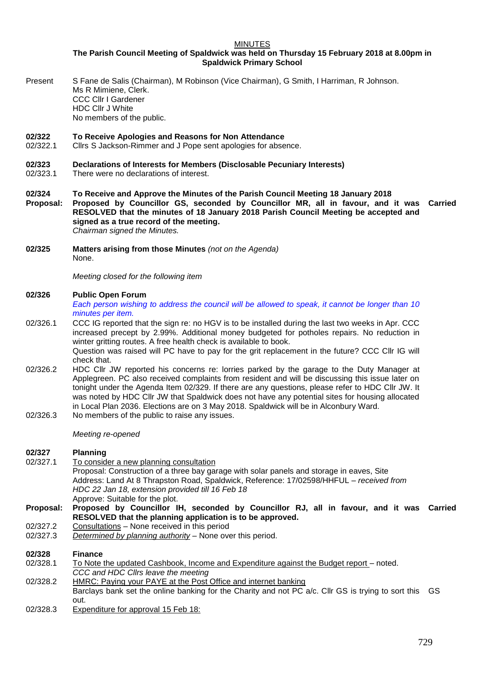## MINUTES

**The Parish Council Meeting of Spaldwick was held on Thursday 15 February 2018 at 8.00pm in Spaldwick Primary School**

Present S Fane de Salis (Chairman), M Robinson (Vice Chairman), G Smith, I Harriman, R Johnson. Ms R Mimiene, Clerk. CCC Cllr I Gardener HDC Cllr J White No members of the public.

# **02/322 To Receive Apologies and Reasons for Non Attendance**

02/322.1 Cllrs S Jackson-Rimmer and J Pope sent apologies for absence.

## **02/323 Declarations of Interests for Members (Disclosable Pecuniary Interests)**

- 02/323.1 There were no declarations of interest.
- **02/324 To Receive and Approve the Minutes of the Parish Council Meeting 18 January 2018 Proposal: Proposed by Councillor GS, seconded by Councillor MR, all in favour, and it was RESOLVED that the minutes of 18 January 2018 Parish Council Meeting be accepted and signed as a true record of the meeting. Carried** *Chairman signed the Minutes.*
- **02/325 Matters arising from those Minutes** *(not on the Agenda)* None.

*Meeting closed for the following item*

#### **02/326 Public Open Forum**

*Each person wishing to address the council will be allowed to speak, it cannot be longer than 10 minutes per item.* 

- 02/326.1 CCC IG reported that the sign re: no HGV is to be installed during the last two weeks in Apr. CCC increased precept by 2.99%. Additional money budgeted for potholes repairs. No reduction in winter gritting routes. A free health check is available to book. Question was raised will PC have to pay for the grit replacement in the future? CCC Cllr IG will check that.
- 02/326.2 HDC Cllr JW reported his concerns re: lorries parked by the garage to the Duty Manager at Applegreen. PC also received complaints from resident and will be discussing this issue later on tonight under the Agenda Item 02/329. If there are any questions, please refer to HDC Cllr JW. It was noted by HDC Cllr JW that Spaldwick does not have any potential sites for housing allocated in Local Plan 2036. Elections are on 3 May 2018. Spaldwick will be in Alconbury Ward.
- 02/326.3 No members of the public to raise any issues.

*Meeting re-opened*

# **02/327 Planning**

To consider a new planning consultation Proposal: Construction of a three bay garage with solar panels and storage in eaves, Site Address: Land At [8 Thrapston Road, Spaldwick,](https://maps.google.com/?q=8+Thrapston+Road+Spaldwick&entry=gmail&source=g) Reference: 17/02598/HHFUL – *received from HDC 22 Jan 18, extension provided till 16 Feb 18* Approve: Suitable for the plot.

# **Proposal: Proposed by Councillor IH, seconded by Councillor RJ, all in favour, and it was Carried RESOLVED that the planning application is to be approved.**

- 02/327.2 Consultations None received in this period
- 02/327.3 *Determined by planning authority –* None over this period.

# **02/328 Finance** 02/328.1 To Note the updated Cashbook, Income and Expenditure against the Budget report – noted. *CCC and HDC Cllrs leave the meeting* 02/328.2 HMRC: Paying your PAYE at the Post Office and internet banking Barclays bank set the online banking for the Charity and not PC a/c. Cllr GS is trying to sort this GS out. 02/328.3 Expenditure for approval 15 Feb 18: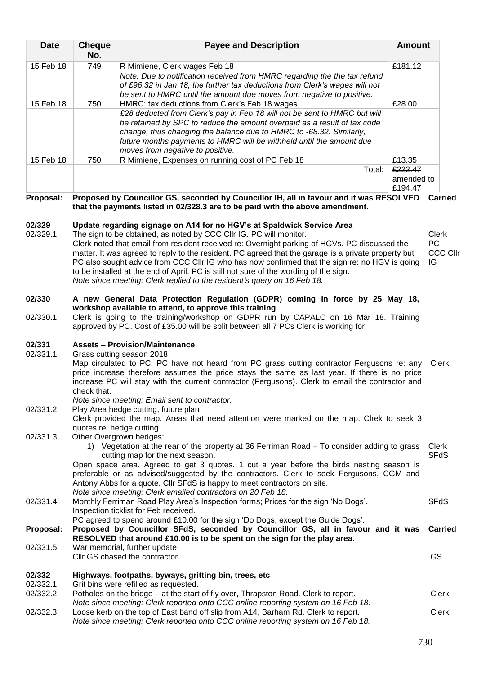| <b>Date</b>        | <b>Cheque</b><br>No.                                                                                                                                                                                                                                                                                                                                                                                                                                                                                                                                                                                                       | <b>Payee and Description</b>                                                                                                                                                                                                                                                                                                                                                                                                                                      | <b>Amount</b>                    |                                    |
|--------------------|----------------------------------------------------------------------------------------------------------------------------------------------------------------------------------------------------------------------------------------------------------------------------------------------------------------------------------------------------------------------------------------------------------------------------------------------------------------------------------------------------------------------------------------------------------------------------------------------------------------------------|-------------------------------------------------------------------------------------------------------------------------------------------------------------------------------------------------------------------------------------------------------------------------------------------------------------------------------------------------------------------------------------------------------------------------------------------------------------------|----------------------------------|------------------------------------|
| 15 Feb 18          | 749                                                                                                                                                                                                                                                                                                                                                                                                                                                                                                                                                                                                                        | R Mimiene, Clerk wages Feb 18                                                                                                                                                                                                                                                                                                                                                                                                                                     | £181.12                          |                                    |
|                    |                                                                                                                                                                                                                                                                                                                                                                                                                                                                                                                                                                                                                            | Note: Due to notification received from HMRC regarding the the tax refund<br>of £96.32 in Jan 18, the further tax deductions from Clerk's wages will not<br>be sent to HMRC until the amount due moves from negative to positive.                                                                                                                                                                                                                                 |                                  |                                    |
| 15 Feb 18          | 750                                                                                                                                                                                                                                                                                                                                                                                                                                                                                                                                                                                                                        | HMRC: tax deductions from Clerk's Feb 18 wages                                                                                                                                                                                                                                                                                                                                                                                                                    | £28.00                           |                                    |
|                    |                                                                                                                                                                                                                                                                                                                                                                                                                                                                                                                                                                                                                            | £28 deducted from Clerk's pay in Feb 18 will not be sent to HMRC but will<br>be retained by SPC to reduce the amount overpaid as a result of tax code<br>change, thus changing the balance due to HMRC to -68.32. Similarly,<br>future months payments to HMRC will be withheld until the amount due                                                                                                                                                              |                                  |                                    |
|                    | 750                                                                                                                                                                                                                                                                                                                                                                                                                                                                                                                                                                                                                        | moves from negative to positive.                                                                                                                                                                                                                                                                                                                                                                                                                                  | £13.35                           |                                    |
| 15 Feb 18          |                                                                                                                                                                                                                                                                                                                                                                                                                                                                                                                                                                                                                            | R Mimiene, Expenses on running cost of PC Feb 18<br>Total:                                                                                                                                                                                                                                                                                                                                                                                                        | £222.47<br>amended to<br>£194.47 |                                    |
| Proposal:          |                                                                                                                                                                                                                                                                                                                                                                                                                                                                                                                                                                                                                            | Proposed by Councillor GS, seconded by Councillor IH, all in favour and it was RESOLVED<br>that the payments listed in 02/328.3 are to be paid with the above amendment.                                                                                                                                                                                                                                                                                          |                                  | Carried                            |
| 02/329<br>02/329.1 | Update regarding signage on A14 for no HGV's at Spaldwick Service Area<br>The sign to be obtained, as noted by CCC CIIr IG. PC will monitor.<br>Clerk noted that email from resident received re: Overnight parking of HGVs. PC discussed the<br>matter. It was agreed to reply to the resident. PC agreed that the garage is a private property but<br>PC also sought advice from CCC CIIr IG who has now confirmed that the sign re: no HGV is going<br>to be installed at the end of April. PC is still not sure of the wording of the sign.<br>Note since meeting: Clerk replied to the resident's query on 16 Feb 18. |                                                                                                                                                                                                                                                                                                                                                                                                                                                                   |                                  | <b>Clerk</b><br>PC<br>CCC CI<br>IG |
| 02/330             |                                                                                                                                                                                                                                                                                                                                                                                                                                                                                                                                                                                                                            | A new General Data Protection Regulation (GDPR) coming in force by 25 May 18,                                                                                                                                                                                                                                                                                                                                                                                     |                                  |                                    |
| 02/330.1           | workshop available to attend, to approve this training<br>Clerk is going to the training/workshop on GDPR run by CAPALC on 16 Mar 18. Training<br>approved by PC. Cost of £35.00 will be split between all 7 PCs Clerk is working for.                                                                                                                                                                                                                                                                                                                                                                                     |                                                                                                                                                                                                                                                                                                                                                                                                                                                                   |                                  |                                    |
| 02/331<br>02/331.1 | <b>Assets - Provision/Maintenance</b><br>Grass cutting season 2018<br>Map circulated to PC. PC have not heard from PC grass cutting contractor Fergusons re: any<br>price increase therefore assumes the price stays the same as last year. If there is no price<br>increase PC will stay with the current contractor (Fergusons). Clerk to email the contractor and<br>check that.<br>Note since meeting: Email sent to contractor.                                                                                                                                                                                       |                                                                                                                                                                                                                                                                                                                                                                                                                                                                   |                                  | Clerk                              |
| 02/331.2           | Play Area hedge cutting, future plan<br>Clerk provided the map. Areas that need attention were marked on the map. Clrek to seek 3<br>quotes re: hedge cutting.<br>Other Overgrown hedges:                                                                                                                                                                                                                                                                                                                                                                                                                                  |                                                                                                                                                                                                                                                                                                                                                                                                                                                                   |                                  |                                    |
| 02/331.3           |                                                                                                                                                                                                                                                                                                                                                                                                                                                                                                                                                                                                                            | 1) Vegetation at the rear of the property at 36 Ferriman Road – To consider adding to grass<br>cutting map for the next season.<br>Open space area. Agreed to get 3 quotes. 1 cut a year before the birds nesting season is<br>preferable or as advised/suggested by the contractors. Clerk to seek Fergusons, CGM and<br>Antony Abbs for a quote. Cllr SFdS is happy to meet contractors on site.<br>Note since meeting: Clerk emailed contractors on 20 Feb 18. |                                  | Clerk<br><b>SFdS</b>               |
| 02/331.4           |                                                                                                                                                                                                                                                                                                                                                                                                                                                                                                                                                                                                                            | Monthly Ferriman Road Play Area's Inspection forms; Prices for the sign 'No Dogs'.<br>Inspection ticklist for Feb received.                                                                                                                                                                                                                                                                                                                                       |                                  | <b>SFdS</b>                        |
| Proposal:          |                                                                                                                                                                                                                                                                                                                                                                                                                                                                                                                                                                                                                            | PC agreed to spend around £10.00 for the sign 'Do Dogs, except the Guide Dogs'.<br>Proposed by Councillor SFdS, seconded by Councillor GS, all in favour and it was<br>RESOLVED that around £10.00 is to be spent on the sign for the play area.                                                                                                                                                                                                                  |                                  | <b>Carried</b>                     |
| 02/331.5           |                                                                                                                                                                                                                                                                                                                                                                                                                                                                                                                                                                                                                            | War memorial, further update<br>Cllr GS chased the contractor.                                                                                                                                                                                                                                                                                                                                                                                                    |                                  | GS                                 |
| 02/332<br>02/332.1 |                                                                                                                                                                                                                                                                                                                                                                                                                                                                                                                                                                                                                            | Highways, footpaths, byways, gritting bin, trees, etc<br>Grit bins were refilled as requested.                                                                                                                                                                                                                                                                                                                                                                    |                                  |                                    |
| 02/332.2           |                                                                                                                                                                                                                                                                                                                                                                                                                                                                                                                                                                                                                            | Potholes on the bridge – at the start of fly over, Thrapston Road. Clerk to report.<br>Note since meeting: Clerk reported onto CCC online reporting system on 16 Feb 18.                                                                                                                                                                                                                                                                                          |                                  | Clerk                              |
| 02/332.3           |                                                                                                                                                                                                                                                                                                                                                                                                                                                                                                                                                                                                                            | Loose kerb on the top of East band off slip from A14, Barham Rd. Clerk to report.<br>mooting: Clark ronarted anto CCC online ronarting                                                                                                                                                                                                                                                                                                                            |                                  | Clerk                              |

llr

- 
- *Note since meeting: Clerk reported onto CCC online reporting system on 16 Feb 18.*